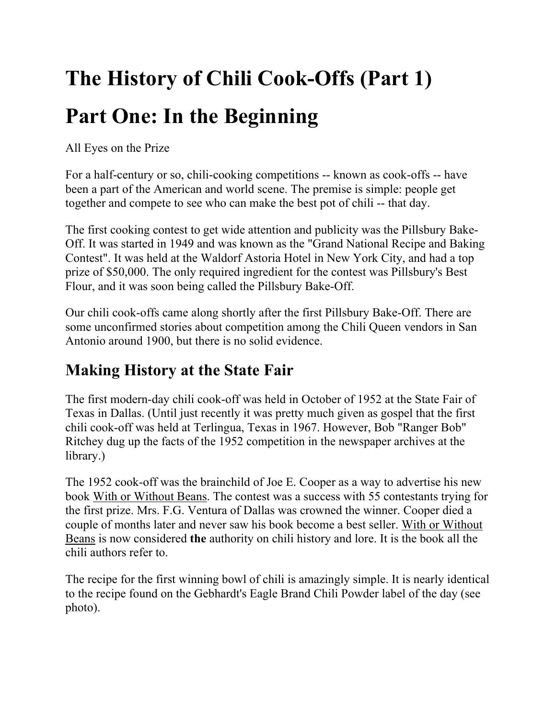# **The History of Chili Cook-Offs (Part 1) Part One: In the Beginning**

All Eyes on the Prize

For a half-century or so, chili-cooking competitions -- known as cook-offs -- have been a part of the American and world scene. The premise is simple: people get together and compete to see who can make the best pot of chili -- that day.

The first cooking contest to get wide attention and publicity was the Pillsbury Bake-Off. It was started in 1949 and was known as the "Grand National Recipe and Baking Contest". It was held at the Waldorf Astoria Hotel in New York City, and had a top prize of \$50,000. The only required ingredient for the contest was Pillsbury's Best Flour, and it was soon being called the Pillsbury Bake-Off.

Our chili cook-offs came along shortly after the first Pillsbury Bake-Off. There are some unconfirmed stories about competition among the Chili Queen vendors in San Antonio around 1900, but there is no solid evidence.

## **Making History at the State Fair**

The first modern-day chili cook-off was held in October of 1952 at the State Fair of Texas in Dallas. (Until just recently it was pretty much given as gospel that the first chili cook-off was held at Terlingua, Texas in 1967. However, Bob "Ranger Bob" Ritchey dug up the facts of the 1952 competition in the newspaper archives at the library.)

The 1952 cook-off was the brainchild of Joe E. Cooper as a way to advertise his new book With or Without Beans. The contest was a success with 55 contestants trying for the first prize. Mrs. F.G. Ventura of Dallas was crowned the winner. Cooper died a couple of months later and never saw his book become a best seller. With or Without Beans is now considered **the** authority on chili history and lore. It is the book all the chili authors refer to.

The recipe for the first winning bowl of chili is amazingly simple. It is nearly identical to the recipe found on the Gebhardt's Eagle Brand Chili Powder label of the day (see photo).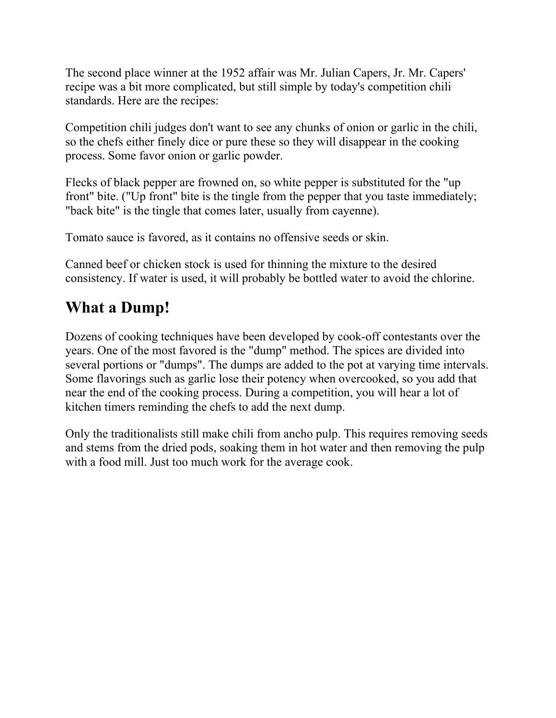The second place winner at the 1952 affair was Mr. Julian Capers, Jr. Mr. Capers' recipe was a bit more complicated, but still simple by today's competition chili standards. Here are the recipes:

Competition chili judges don't want to see any chunks of onion or garlic in the chili, so the chefs either finely dice or pure these so they will disappear in the cooking process. Some favor onion or garlic powder.

Flecks of black pepper are frowned on, so white pepper is substituted for the "up front" bite. ("Up front" bite is the tingle from the pepper that you taste immediately; "back bite" is the tingle that comes later, usually from cayenne).

Tomato sauce is favored, as it contains no offensive seeds or skin.

Canned beef or chicken stock is used for thinning the mixture to the desired consistency. If water is used, it will probably be bottled water to avoid the chlorine.

## **What a Dump!**

Dozens of cooking techniques have been developed by cook-off contestants over the years. One of the most favored is the "dump" method. The spices are divided into several portions or "dumps". The dumps are added to the pot at varying time intervals. Some flavorings such as garlic lose their potency when overcooked, so you add that near the end of the cooking process. During a competition, you will hear a lot of kitchen timers reminding the chefs to add the next dump.

Only the traditionalists still make chili from ancho pulp. This requires removing seeds and stems from the dried pods, soaking them in hot water and then removing the pulp with a food mill. Just too much work for the average cook.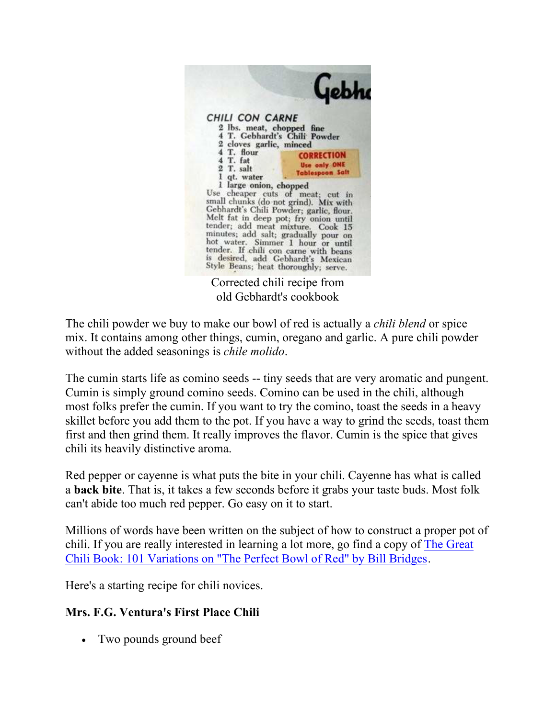

Corrected chili recipe from old Gebhardt's cookbook

The chili powder we buy to make our bowl of red is actually a *chili blend* or spice mix. It contains among other things, cumin, oregano and garlic. A pure chili powder without the added seasonings is *chile molido*.

The cumin starts life as comino seeds -- tiny seeds that are very aromatic and pungent. Cumin is simply ground comino seeds. Comino can be used in the chili, although most folks prefer the cumin. If you want to try the comino, toast the seeds in a heavy skillet before you add them to the pot. If you have a way to grind the seeds, toast them first and then grind them. It really improves the flavor. Cumin is the spice that gives chili its heavily distinctive aroma.

Red pepper or cayenne is what puts the bite in your chili. Cayenne has what is called a **back bite**. That is, it takes a few seconds before it grabs your taste buds. Most folk can't abide too much red pepper. Go easy on it to start.

Millions of words have been written on the subject of how to construct a proper pot of chili. If you are really interested in learning a lot more, go find a copy of The Great Chili Book: 101 Variations on "The Perfect Bowl of Red" by Bill Bridges.

Here's a starting recipe for chili novices.

#### **Mrs. F.G. Ventura's First Place Chili**

• Two pounds ground beef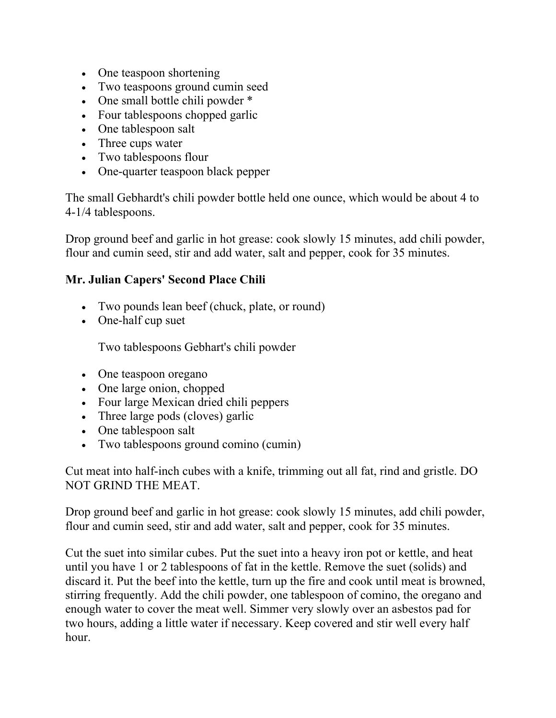- One teaspoon shortening
- Two teaspoons ground cumin seed
- One small bottle chili powder \*
- Four tablespoons chopped garlic
- One tablespoon salt
- Three cups water
- Two tablespoons flour
- One-quarter teaspoon black pepper

The small Gebhardt's chili powder bottle held one ounce, which would be about 4 to 4-1/4 tablespoons.

Drop ground beef and garlic in hot grease: cook slowly 15 minutes, add chili powder, flour and cumin seed, stir and add water, salt and pepper, cook for 35 minutes.

#### **Mr. Julian Capers' Second Place Chili**

- Two pounds lean beef (chuck, plate, or round)
- One-half cup suet

Two tablespoons Gebhart's chili powder

- One teaspoon oregano
- One large onion, chopped
- Four large Mexican dried chili peppers
- Three large pods (cloves) garlic
- One tablespoon salt
- Two tablespoons ground comino (cumin)

Cut meat into half-inch cubes with a knife, trimming out all fat, rind and gristle. DO NOT GRIND THE MEAT.

Drop ground beef and garlic in hot grease: cook slowly 15 minutes, add chili powder, flour and cumin seed, stir and add water, salt and pepper, cook for 35 minutes.

Cut the suet into similar cubes. Put the suet into a heavy iron pot or kettle, and heat until you have 1 or 2 tablespoons of fat in the kettle. Remove the suet (solids) and discard it. Put the beef into the kettle, turn up the fire and cook until meat is browned, stirring frequently. Add the chili powder, one tablespoon of comino, the oregano and enough water to cover the meat well. Simmer very slowly over an asbestos pad for two hours, adding a little water if necessary. Keep covered and stir well every half hour.